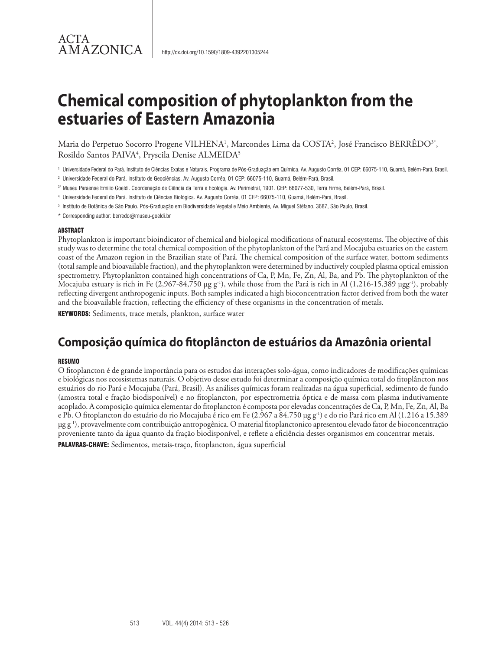Maria do Perpetuo Socorro Progene VILHENA<sup>1</sup>, Marcondes Lima da COSTA<sup>2</sup>, José Francisco BERRÊDO $^3$ ', Rosildo Santos PAIVA4 , Pryscila Denise ALMEIDA5

- 1 Universidade Federal do Pará. Instituto de Ciências Exatas e Naturais, Programa de Pós-Graduação em Química. Av. Augusto Corrêa, 01 CEP: 66075-110, Guamá, Belém-Pará, Brasil.
- 2 Universidade Federal do Pará. Instituto de Geociências. Av. Augusto Corrêa, 01 CEP: 66075-110, Guamá, Belém-Pará, Brasil.
- 3\* Museu Paraense Emilio Goeldi. Coordenação de Ciência da Terra e Ecologia. Av. Perimetral, 1901. CEP: 66077-530, Terra Firme, Belém-Pará, Brasil.
- 4 Universidade Federal do Pará. Instituto de Ciências Biológica. Av. Augusto Corrêa, 01 CEP: 66075-110, Guamá, Belém-Pará, Brasil.
- 5 Instituto de Botânica de São Paulo. Pós-Graduação em Biodiversidade Vegetal e Meio Ambiente, Av. Miguel Stéfano, 3687, São Paulo, Brasil.
- \* Corresponding author: berredo@museu-goeldi.br

#### ABSTRACT

ACTA

**AMAZONICA** 

Phytoplankton is important bioindicator of chemical and biological modifications of natural ecosystems. The objective of this study was to determine the total chemical composition of the phytoplankton of the Pará and Mocajuba estuaries on the eastern coast of the Amazon region in the Brazilian state of Pará. The chemical composition of the surface water, bottom sediments (total sample and bioavailable fraction), and the phytoplankton were determined by inductively coupled plasma optical emission spectrometry. Phytoplankton contained high concentrations of Ca, P, Mn, Fe, Zn, Al, Ba, and Pb. The phytoplankton of the Mocajuba estuary is rich in Fe  $(2,967-84,750 \mu g g^{-1})$ , while those from the Pará is rich in Al  $(1,216-15,389 \mu g g^{-1})$ , probably reflecting divergent anthropogenic inputs. Both samples indicated a high bioconcentration factor derived from both the water and the bioavailable fraction, reflecting the efficiency of these organisms in the concentration of metals.

KEYWORDS: Sediments, trace metals, plankton, surface water

# **Composição química do fitoplâncton de estuários da Amazônia oriental**

#### RESUMO

O fitoplancton é de grande importância para os estudos das interações solo-água, como indicadores de modificações químicas e biológicas nos ecossistemas naturais. O objetivo desse estudo foi determinar a composição química total do fitoplâncton nos estuários do rio Pará e Mocajuba (Pará, Brasil). As análises químicas foram realizadas na água superficial, sedimento de fundo (amostra total e fração biodisponível) e no fitoplancton, por espectrometria óptica e de massa com plasma indutivamente acoplado. A composição química elementar do fitoplancton é composta por elevadas concentrações de Ca, P, Mn, Fe, Zn, Al, Ba e Pb. O fitoplancton do estuário do rio Mocajuba é rico em Fe (2.967 a 84.750 µg g-1) e do rio Pará rico em Al (1.216 a 15.389 µg g-1), provavelmente com contribuição antropogênica. O material fitoplanctonico apresentou elevado fator de bioconcentração proveniente tanto da água quanto da fração biodisponível, e reflete a eficiência desses organismos em concentrar metais.

PALAVRAS-CHAVE: Sedimentos, metais-traço, fitoplancton, água superficial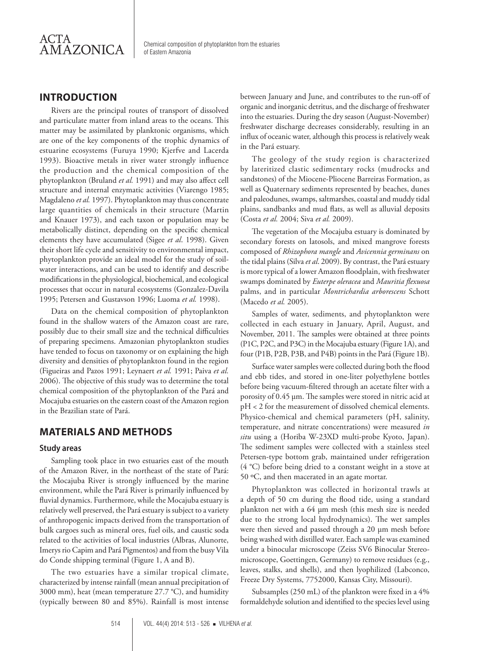

### **INTRODUCTION**

Rivers are the principal routes of transport of dissolved and particulate matter from inland areas to the oceans. This matter may be assimilated by planktonic organisms, which are one of the key components of the trophic dynamics of estuarine ecosystems (Furuya 1990; Kjerfve and Lacerda 1993). Bioactive metals in river water strongly influence the production and the chemical composition of the phytoplankton (Bruland *et al.* 1991) and may also affect cell structure and internal enzymatic activities (Viarengo 1985; Magdaleno *et al.* 1997). Phytoplankton may thus concentrate large quantities of chemicals in their structure (Martin and Knauer 1973), and each taxon or population may be metabolically distinct, depending on the specific chemical elements they have accumulated (Sigee *et al*. 1998). Given their short life cycle and sensitivity to environmental impact, phytoplankton provide an ideal model for the study of soilwater interactions, and can be used to identify and describe modifications in the physiological, biochemical, and ecological processes that occur in natural ecosystems (Gonzalez-Davila 1995; Petersen and Gustavson 1996; Luoma *et al.* 1998).

Data on the chemical composition of phytoplankton found in the shallow waters of the Amazon coast are rare, possibly due to their small size and the technical difficulties of preparing specimens. Amazonian phytoplankton studies have tended to focus on taxonomy or on explaining the high diversity and densities of phytoplankton found in the region (Figueiras and Pazos 1991; Leynaert *et al.* 1991; Paiva *et al.* 2006). The objective of this study was to determine the total chemical composition of the phytoplankton of the Pará and Mocajuba estuaries on the eastern coast of the Amazon region in the Brazilian state of Pará.

### **MATERIALS AND METHODS**

#### **Study areas**

Sampling took place in two estuaries east of the mouth of the Amazon River, in the northeast of the state of Pará: the Mocajuba River is strongly influenced by the marine environment, while the Pará River is primarily influenced by fluvial dynamics. Furthermore, while the Mocajuba estuary is relatively well preserved, the Pará estuary is subject to a variety of anthropogenic impacts derived from the transportation of bulk cargoes such as mineral ores, fuel oils, and caustic soda related to the activities of local industries (Albras, Alunorte, Imerys rio Capim and Pará Pigmentos) and from the busy Vila do Conde shipping terminal (Figure 1, A and B).

The two estuaries have a similar tropical climate, characterized by intense rainfall (mean annual precipitation of 3000 mm), heat (mean temperature 27.7 °C), and humidity (typically between 80 and 85%). Rainfall is most intense

between January and June, and contributes to the run-off of organic and inorganic detritus, and the discharge of freshwater into the estuaries. During the dry season (August-November) freshwater discharge decreases considerably, resulting in an influx of oceanic water, although this process is relatively weak in the Pará estuary.

The geology of the study region is characterized by lateritized clastic sedimentary rocks (mudrocks and sandstones) of the Miocene-Pliocene Barreiras Formation, as well as Quaternary sediments represented by beaches, dunes and paleodunes, swamps, saltmarshes, coastal and muddy tidal plains, sandbanks and mud flats, as well as alluvial deposits (Costa *et al.* 2004; Siva *et al.* 2009).

The vegetation of the Mocajuba estuary is dominated by secondary forests on latosols, and mixed mangrove forests composed of *Rhizophora mangle* and *Avicennia germinans* on the tidal plains (Silva *et al*. 2009). By contrast, the Pará estuary is more typical of a lower Amazon floodplain, with freshwater swamps dominated by *Euterpe oleracea* and *Mauritia flexuosa* palms, and in particular *Montrichardia arborescens* Schott (Macedo *et al.* 2005).

Samples of water, sediments, and phytoplankton were collected in each estuary in January, April, August, and November, 2011. The samples were obtained at three points (P1C, P2C, and P3C) in the Mocajuba estuary (Figure 1A), and four (P1B, P2B, P3B, and P4B) points in the Pará (Figure 1B).

Surface water samples were collected during both the flood and ebb tides, and stored in one-liter polyethylene bottles before being vacuum-filtered through an acetate filter with a porosity of 0.45 µm. The samples were stored in nitric acid at pH < 2 for the measurement of dissolved chemical elements. Physico-chemical and chemical parameters (pH, salinity, temperature, and nitrate concentrations) were measured *in situ* using a (Horiba W-23XD multi-probe Kyoto, Japan). The sediment samples were collected with a stainless steel Petersen-type bottom grab, maintained under refrigeration (4 °C) before being dried to a constant weight in a stove at 50 ºC, and then macerated in an agate mortar.

Phytoplankton was collected in horizontal trawls at a depth of 50 cm during the flood tide, using a standard plankton net with a 64 µm mesh (this mesh size is needed due to the strong local hydrodynamics). The wet samples were then sieved and passed through a 20 µm mesh before being washed with distilled water. Each sample was examined under a binocular microscope (Zeiss SV6 Binocular Stereomicroscope, Goettingen, Germany) to remove residues (e.g., leaves, stalks, and shells), and then lyophilized (Labconco, Freeze Dry Systems, 7752000, Kansas City, Missouri).

Subsamples (250 mL) of the plankton were fixed in a 4% formaldehyde solution and identified to the species level using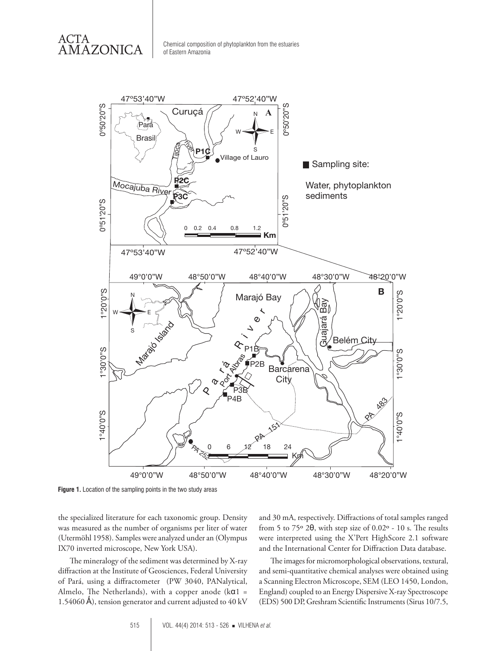ACTA AMAZONICA



**Figure 1.** Location of the sampling points in the two study areas

the specialized literature for each taxonomic group. Density was measured as the number of organisms per liter of water (Utermöhl 1958). Samples were analyzed under an (Olympus IX70 inverted microscope, New York USA).

The mineralogy of the sediment was determined by X-ray diffraction at the Institute of Geosciences, Federal University of Pará, using a diffractometer (PW 3040, PANalytical, Almelo, The Netherlands), with a copper anode ( $k\alpha$ 1 = 1.54060 Å), tension generator and current adjusted to  $40 \text{ kV}$  and 30 mA, respectively. Diffractions of total samples ranged from 5 to 75º 2θ, with step size of 0.02º - 10 s. The results were interpreted using the X'Pert HighScore 2.1 software and the International Center for Diffraction Data database.

The images for micromorphological observations, textural, and semi-quantitative chemical analyses were obtained using a Scanning Electron Microscope, SEM (LEO 1450, London, England) coupled to an Energy Dispersive X-ray Spectroscope (EDS) 500 DP, Greshram Scientific Instruments (Sirus 10/7.5,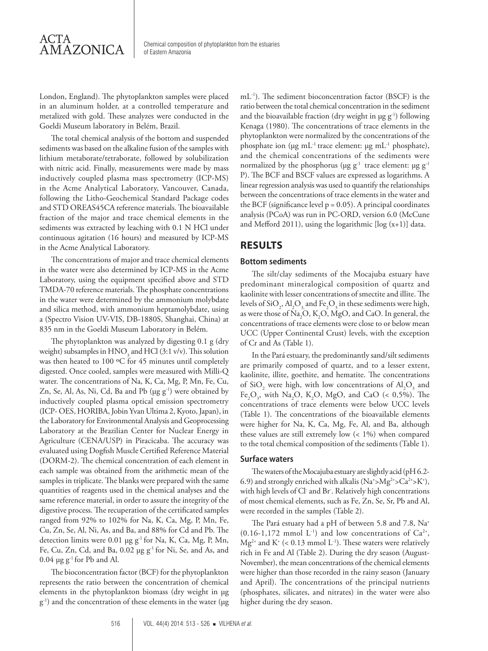London, England). The phytoplankton samples were placed in an aluminum holder, at a controlled temperature and metalized with gold. These analyzes were conducted in the Goeldi Museum laboratory in Belém, Brazil.

The total chemical analysis of the bottom and suspended sediments was based on the alkaline fusion of the samples with lithium metaborate/tetraborate, followed by solubilization with nitric acid. Finally, measurements were made by mass inductively coupled plasma mass spectrometry (ICP-MS) in the Acme Analytical Laboratory, Vancouver, Canada, following the Litho-Geochemical Standard Package codes and STD OREAS45CA reference materials. The bioavailable fraction of the major and trace chemical elements in the sediments was extracted by leaching with 0.1 N HCl under continuous agitation (16 hours) and measured by ICP-MS in the Acme Analytical Laboratory.

The concentrations of major and trace chemical elements in the water were also determined by ICP-MS in the Acme Laboratory, using the equipment specified above and STD TMDA-70 reference materials. The phosphate concentrations in the water were determined by the ammonium molybdate and silica method, with ammonium heptamolybdate, using a (Spectro Vision UV-VIS, DB-1880S, Shanghai, China) at 835 nm in the Goeldi Museum Laboratory in Belém.

The phytoplankton was analyzed by digesting 0.1 g (dry weight) subsamples in  $\mathrm{HNO}_3$  and  $\mathrm{HCl}$  (3:1 v/v). This solution was then heated to 100 °C for 45 minutes until completely digested. Once cooled, samples were measured with Milli-Q water. The concentrations of Na, K, Ca, Mg, P, Mn, Fe, Cu, Zn, Se, Al, As, Ni, Cd, Ba and Pb (µg g<sup>-1</sup>) were obtained by inductively coupled plasma optical emission spectrometry (ICP- OES, HORIBA, Jobin Yvan Ultima 2, Kyoto, Japan), in the Laboratory for Environmental Analysis and Geoprocessing Laboratory at the Brazilian Center for Nuclear Energy in Agriculture (CENA/USP) in Piracicaba. The accuracy was evaluated using Dogfish Muscle Certified Reference Material (DORM-2). The chemical concentration of each element in each sample was obtained from the arithmetic mean of the samples in triplicate. The blanks were prepared with the same quantities of reagents used in the chemical analyses and the same reference material, in order to assure the integrity of the digestive process. The recuperation of the certificated samples ranged from 92% to 102% for Na, K, Ca, Mg, P, Mn, Fe, Cu, Zn, Se, Al, Ni, As, and Ba, and 88% for Cd and Pb. The detection limits were 0.01 µg g-1 for Na, K, Ca, Mg, P, Mn, Fe, Cu, Zn, Cd, and Ba, 0.02 µg g<sup>-1</sup> for Ni, Se, and As, and  $0.04 \mu g g^{-1}$  for Pb and Al.

The bioconcentration factor (BCF) for the phytoplankton represents the ratio between the concentration of chemical elements in the phytoplankton biomass (dry weight in µg g-1) and the concentration of these elements in the water (µg mL-1). The sediment bioconcentration factor (BSCF) is the ratio between the total chemical concentration in the sediment and the bioavailable fraction (dry weight in  $\mu$ g g<sup>-1</sup>) following Kenaga (1980). The concentrations of trace elements in the phytoplankton were normalized by the concentrations of the phosphate ion ( $\mu$ g mL<sup>-1</sup> trace element:  $\mu$ g mL<sup>-1</sup> phosphate), and the chemical concentrations of the sediments were normalized by the phosphorus ( $\mu$ g g<sup>-1</sup> trace element:  $\mu$ g g<sup>-1</sup> P). The BCF and BSCF values are expressed as logarithms. A linear regression analysis was used to quantify the relationships between the concentrations of trace elements in the water and the BCF (significance level  $p = 0.05$ ). A principal coordinates analysis (PCoA) was run in PC-ORD, version 6.0 (McCune and Mefford 2011), using the logarithmic  $[log(x+1)]$  data.

## **RESULTS**

#### **Bottom sediments**

The silt/clay sediments of the Mocajuba estuary have predominant mineralogical composition of quartz and kaolinite with lesser concentrations of smectite and illite. The levels of SiO<sub>2</sub>, Al<sub>2</sub>O<sub>3,</sub> and Fe<sub>2</sub>O<sub>3</sub> in these sediments were high, as were those of  $\text{Na}_2\text{O}$ ,  $\text{K}_2\text{O}$ ,  $\text{MgO}$ , and CaO. In general, the concentrations of trace elements were close to or below mean UCC (Upper Continental Crust) levels, with the exception of Cr and As (Table 1).

In the Pará estuary, the predominantly sand/silt sediments are primarily composed of quartz, and to a lesser extent, kaolinite, illite, goethite, and hematite. The concentrations of  $\text{SiO}_2$  were high, with low concentrations of  $\text{Al}_2\text{O}_3$  and Fe<sub>2</sub>O<sub>3</sub>, with Na<sub>2</sub>O, K<sub>2</sub>O, MgO, and CaO (< 0,5%). The concentrations of trace elements were below UCC levels (Table 1). The concentrations of the bioavailable elements were higher for Na, K, Ca, Mg, Fe, Al, and Ba, although these values are still extremely low (< 1%) when compared to the total chemical composition of the sediments (Table 1).

### **Surface waters**

The waters of the Mocajuba estuary are slightly acid (pH 6.2- 6.9) and strongly enriched with alkalis ( $Na^+ > Mg^{2+} > Ca^{2+} > K^+$ ), with high levels of Cl- and Br- . Relatively high concentrations of most chemical elements, such as Fe, Zn, Se, Sr, Pb and Al, were recorded in the samples (Table 2).

The Pará estuary had a pH of between 5.8 and 7.8, Na<sup>+</sup>  $(0.16-1.172 \text{ mmol L}^{-1})$  and low concentrations of Ca<sup>2+</sup>,  $Mg^{2+}$  and K<sup>+</sup> (< 0.13 mmol L<sup>-1</sup>). These waters were relatively rich in Fe and Al (Table 2). During the dry season (August-November), the mean concentrations of the chemical elements were higher than those recorded in the rainy season (January and April). The concentrations of the principal nutrients (phosphates, silicates, and nitrates) in the water were also higher during the dry season.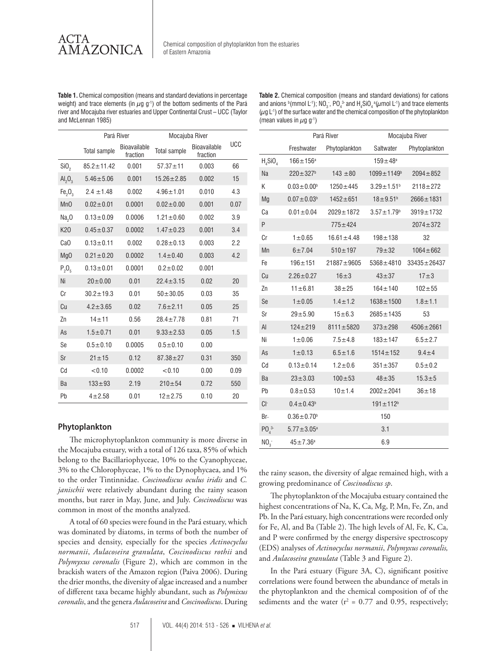ACTA AMAZONICA

**Table 1.** Chemical composition (means and standard deviations in percentage weight) and trace elements (in  $\mu$ g g<sup>-1</sup>) of the bottom sediments of the Pará river and Mocajuba river estuaries and Upper Continental Crust – UCC (Taylor and McLennan 1985)

**Table 2.** Chemical composition (means and standard deviations) for cations and anions  $\text{P}(\text{mmol L}^1)$ ; NO<sub>3</sub>, PO<sub>4</sub><sup>3</sup> and H<sub>4</sub>SiO<sub>4</sub><sup>a</sup>( $\mu$ mol L<sup>-1</sup>) and trace elements  $(\mu q L^{-1})$  of the surface water and the chemical composition of the phytoplankton (mean values in  $\mu$ g g<sup>-1</sup>)

|                                | Pará River          |                          | Mocajuba River      |                          |            |
|--------------------------------|---------------------|--------------------------|---------------------|--------------------------|------------|
|                                | <b>Total sample</b> | Bioavailable<br>fraction | <b>Total sample</b> | Bioavailable<br>fraction | <b>UCC</b> |
| SiO <sub>2</sub>               | $85.2 \pm 11.42$    | 0.001                    | $57.37 + 11$        | 0.003                    | 66         |
| AI <sub>2</sub> O <sub>3</sub> | $5.46 \pm 5.06$     | 0.001                    | $15.26 \pm 2.85$    | 0.002                    | 15         |
| Fe <sub>2</sub> O <sub>3</sub> | $2.4 \pm 1.48$      | 0.002                    | $4.96 \pm 1.01$     | 0.010                    | 4.3        |
| M <sub>n</sub> O               | $0.02 \pm 0.01$     | 0.0001                   | $0.02 \pm 0.00$     | 0.001                    | 0.07       |
| Na <sub>2</sub>                | $0.13 \pm 0.09$     | 0.0006                   | $1.21 \pm 0.60$     | 0.002                    | 3.9        |
| K20                            | $0.45 \pm 0.37$     | 0.0002                   | $1.47 \pm 0.23$     | 0.001                    | 3.4        |
| Ca <sub>O</sub>                | $0.13 \pm 0.11$     | 0.002                    | $0.28 \pm 0.13$     | 0.003                    | 2.2        |
| Mg <sub>0</sub>                | $0.21 \pm 0.20$     | 0.0002                   | $1.4 \pm 0.40$      | 0.003                    | 4.2        |
| $P_2O_5$                       | $0.13 + 0.01$       | 0.0001                   | $0.2 + 0.02$        | 0.001                    |            |
| Ni                             | $20 \pm 0.00$       | 0.01                     | $22.4 \pm 3.15$     | 0.02                     | 20         |
| Сr                             | $30.2 \pm 19.3$     | 0.01                     | $50 + 30.05$        | 0.03                     | 35         |
| Cu                             | $4.2 \pm 3.65$      | 0.02                     | $7.6 + 2.11$        | 0.05                     | 25         |
| Zn                             | $14 + 11$           | 0.56                     | $28.4 \pm 7.78$     | 0.81                     | 71         |
| As                             | $1.5 + 0.71$        | 0.01                     | $9.33 \pm 2.53$     | 0.05                     | 1.5        |
| Se                             | $0.5 + 0.10$        | 0.0005                   | $0.5 + 0.10$        | 0.00                     |            |
| Sr                             | $21 + 15$           | 0.12                     | $87.38 \pm 27$      | 0.31                     | 350        |
| Cd                             | < 0.10              | 0.0002                   | < 0.10              | 0.00                     | 0.09       |
| Ba                             | $133 + 93$          | 2.19                     | $210 + 54$          | 0.72                     | 550        |
| Pb                             | $4 + 2.58$          | 0.01                     | $12 + 2.75$         | 0.10                     | 20         |

|  | Phytoplankton |
|--|---------------|
|--|---------------|

The microphytoplankton community is more diverse in the Mocajuba estuary, with a total of 126 taxa, 85% of which belong to the Bacillariophyceae, 10% to the Cyanophyceae, 3% to the Chlorophyceae, 1% to the Dynophycaea, and 1% to the order Tintinnidae. *Coscinodiscus oculus iridis* and *C. janischii* were relatively abundant during the rainy season months, but rarer in May, June, and July. *Coscinodiscus* was common in most of the months analyzed.

A total of 60 species were found in the Pará estuary, which was dominated by diatoms, in terms of both the number of species and density, especially for the species *Actinocyclus normanii*, *Aulacoseira granulata*, *Coscinodiscus rothii* and *Polymyxus coronalis* (Figure 2), which are common in the brackish waters of the Amazon region (Paiva 2006). During the drier months, the diversity of algae increased and a number of different taxa became highly abundant, such as *Polymixus coronalis*, and the genera *Aulacoseira* and *Coscinodiscus*. During

|                              |                              | Pará River       | Mocajuba River               |                 |  |
|------------------------------|------------------------------|------------------|------------------------------|-----------------|--|
|                              | Freshwater                   | Phytoplankton    | Saltwater                    | Phytoplankton   |  |
| $H_4SiO_4$                   | $166 \pm 156^a$              |                  | $159 + 48^a$                 |                 |  |
| Na                           | $220 \pm 327$ <sup>b</sup>   | $143 + 80$       | 1099±1149 <sup>b</sup>       | $2094 + 852$    |  |
| Κ                            | $0.03 \pm 0.00$ <sup>b</sup> | $1250 + 445$     | $3.29 \pm 1.51$ <sup>b</sup> | $2118 + 272$    |  |
| Mg                           | $0.07 \pm 0.03^b$            | $1452 + 651$     | $18 + 9.51$ <sup>b</sup>     | $2666 \pm 1831$ |  |
| Ca                           | $0.01 \pm 0.04$              | $2029 \pm 1872$  | $3.57 \pm 1.79$ <sup>b</sup> | $3919 \pm 1732$ |  |
| P                            |                              | $775 + 424$      |                              | $2074 + 372$    |  |
| Cr                           | $1 + 0.65$                   | $16.61 \pm 4.48$ | $198 + 138$                  | 32              |  |
| Mn                           | $6 + 7.04$                   | $510 \pm 197$    | $79 + 32$                    | $1064 + 662$    |  |
| Fe                           | $196 + 151$                  | $21887 + 9605$   | $5368 \pm 4810$              | $33435 + 26437$ |  |
| Cu                           | $2.26 \pm 0.27$              | $16\pm3$         | $43 + 37$                    | $17 \pm 3$      |  |
| Zn                           | $11 + 6.81$                  | $38 + 25$        | $164 \pm 140$                | $102 + 55$      |  |
| Se                           | $1 + 0.05$                   | $1.4 \pm 1.2$    | $1638 \pm 1500$              | $1.8 + 1.1$     |  |
| Sr                           | $29 + 5.90$                  | $15 + 6.3$       | $2685 \pm 1435$              | 53              |  |
| AI                           | $124 \pm 219$                | $8111 \pm 5820$  | $373 + 298$                  | $4506 \pm 2661$ |  |
| Ni                           | $1 + 0.06$                   | $7.5 \pm 4.8$    | $183 \pm 147$                | $6.5 + 2.7$     |  |
| As                           | 1 ± 0.13                     | $6.5 \pm 1.6$    | $1514 \pm 152$               | $9.4 + 4$       |  |
| Cd                           | $0.13 \pm 0.14$              | $1.2 + 0.6$      | $351 \pm 357$                | $0.5 + 0.2$     |  |
| Ba                           | $23 + 3.03$                  | $100 + 53$       | $48 + 35$                    | $15.3 + 5$      |  |
| Pb                           | $0.8 + 0.53$                 | $10 + 1.4$       | $2002 \pm 2041$              | $36 + 18$       |  |
| $CI -$                       | $0.4 \pm 0.43^b$             |                  | $191 \pm 112$ <sup>b</sup>   |                 |  |
| $Br-$                        | $0.36\pm0.70^{\rm b}$        |                  | 150                          |                 |  |
| PO <sub>4</sub> <sup>3</sup> | $5.77 \pm 3.05^a$            |                  | 3.1                          |                 |  |
| NO <sub>3</sub>              | $45 + 7.36^a$                |                  | 6.9                          |                 |  |

the rainy season, the diversity of algae remained high, with a growing predominance of *Coscinodiscus sp*.

The phytoplankton of the Mocajuba estuary contained the highest concentrations of Na, K, Ca, Mg, P, Mn, Fe, Zn, and Pb. In the Pará estuary, high concentrations were recorded only for Fe, Al, and Ba (Table 2). The high levels of Al, Fe, K, Ca, and P were confirmed by the energy dispersive spectroscopy (EDS) analyses of *Actinocyclus normanii*, *Polymyxus coronalis,*  and *Aulacoseira granulata* (Table 3 and Figure 2).

In the Pará estuary (Figure 3A, C), significant positive correlations were found between the abundance of metals in the phytoplankton and the chemical composition of of the sediments and the water ( $r^2$  = 0.77 and 0.95, respectively;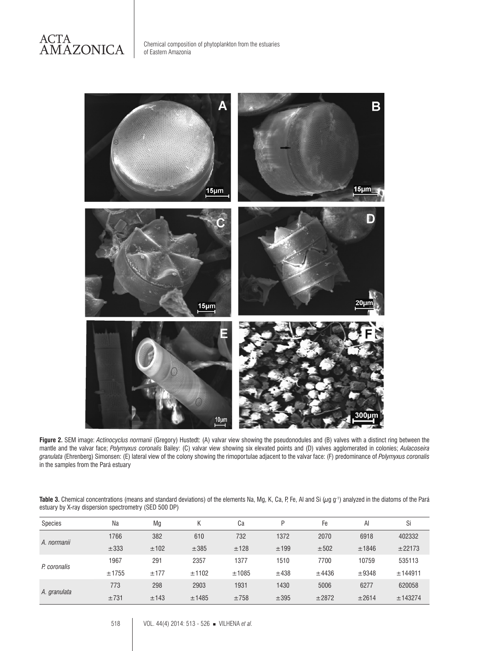

**Figure 2.** SEM image: *Actinocyclus normanii* (Gregory) Hustedt: (A) valvar view showing the pseudonodules and (B) valves with a distinct ring between the mantle and the valvar face; *Polymyxus coronalis* Bailey: (C) valvar view showing six elevated points and (D) valves agglomerated in colonies; *Aulacoseira granulata* (Ehrenberg) Simonsen: (E) lateral view of the colony showing the rimoportulae adjacent to the valvar face: (F) predominance of *Polymyxus coronalis* in the samples from the Pará estuary

Table 3. Chemical concentrations (means and standard deviations) of the elements Na, Mg, K, Ca, P, Fe, Al and Si (µg g<sup>-1</sup>) analyzed in the diatoms of the Pará estuary by X-ray dispersion spectrometry (SED 500 DP)

| Species      | Na    | Mg   | Κ     | Ca    | D    | Fe    | A     | Si      |
|--------------|-------|------|-------|-------|------|-------|-------|---------|
| A. normanii  | 1766  | 382  | 610   | 732   | 1372 | 2070  | 6918  | 402332  |
|              | ±333  | ±102 | ±385  | ±128  | ±199 | ±502  | ±1846 | ±22173  |
|              | 1967  | 291  | 2357  | 1377  | 1510 | 7700  | 10759 | 535113  |
| P. coronalis | ±1755 | ±177 | ±1102 | ±1085 | ±438 | ±4436 | ±9348 | ±144911 |
|              | 773   | 298  | 2903  | 1931  | 1430 | 5006  | 6277  | 620058  |
| A. granulata | ±731  | ±143 | ±1485 | ±758  | ±395 | ±2872 | ±2614 | ±143274 |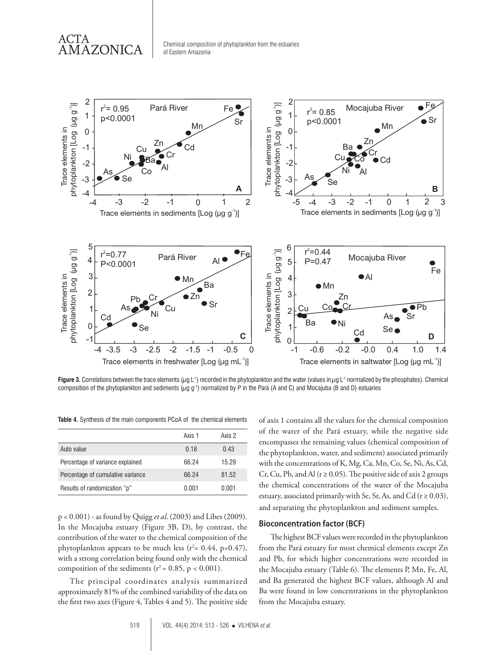ACTA AMAZONICA



**Figure 3.** Correlations between the trace elements ( $\mu$ g L<sup>-1</sup>) recorded in the phytoplankton and the water (values in  $\mu$ g L<sup>-1</sup> normalized by the phosphates). Chemical composition of the phytoplankton and sediments  $(\mu g g^{-1})$  normalized by P in the Pará (A and C) and Mocajuba (B and D) estuaries

**Table 4.** Synthesis of the main components PCoA of the chemical elements

|                                   | Axis 1 | Axis 2 |
|-----------------------------------|--------|--------|
| Auto value                        | 0.18   | 0.43   |
| Percentage of variance explained  | 66.24  | 15.29  |
| Percentage of cumulative variance | 66.24  | 81.52  |
| Results of randomization "p"      | 0.001  | 0.001  |

p < 0.001) - as found by Quigg *et al*. (2003) and Libes (2009). In the Mocajuba estuary (Figure 3B, D), by contrast, the contribution of the water to the chemical composition of the phytoplankton appears to be much less  $(r^2 = 0.44, p = 0.47)$ , with a strong correlation being found only with the chemical composition of the sediments ( $r^2$  = 0.85, p < 0.001).

The principal coordinates analysis summarized approximately 81% of the combined variability of the data on the first two axes (Figure 4, Tables 4 and 5). The positive side of axis 1 contains all the values for the chemical composition of the water of the Pará estuary, while the negative side encompasses the remaining values (chemical composition of the phytoplankton, water, and sediment) associated primarily with the concentrations of K, Mg, Ca, Mn, Co, Se, Ni, As, Cd, Cr, Cu, Pb, and Al ( $r \ge 0.05$ ). The positive side of axis 2 groups the chemical concentrations of the water of the Mocajuba estuary, associated primarily with Se, Sr, As, and Cd ( $r \ge 0.03$ ), and separating the phytoplankton and sediment samples.

#### **Bioconcentration factor (BCF)**

The highest BCF values were recorded in the phytoplankton from the Pará estuary for most chemical elements except Zn and Pb, for which higher concentrations were recorded in the Mocajuba estuary (Table 6). The elements P, Mn, Fe, Al, and Ba generated the highest BCF values, although Al and Ba were found in low concentrations in the phytoplankton from the Mocajuba estuary.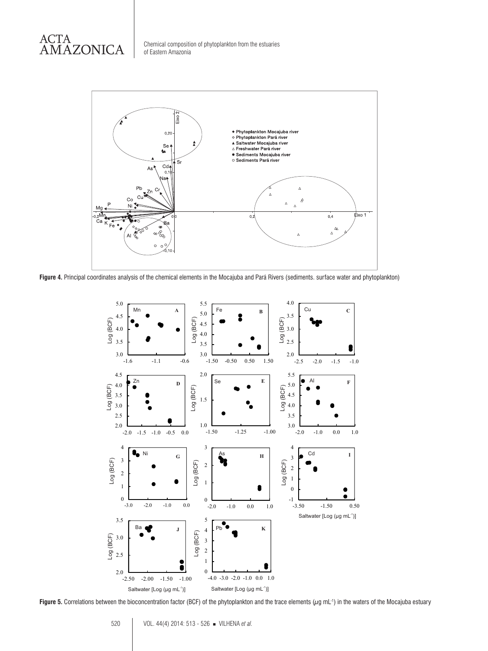



**Figure 4.** Principal coordinates analysis of the chemical elements in the Mocajuba and Pará Rivers (sediments. surface water and phytoplankton)



**Figure 5.** Correlations between the bioconcentration factor (BCF) of the phytoplankton and the trace elements  $(\mu g \text{ mL}^{-1})$  in the waters of the Mocajuba estuary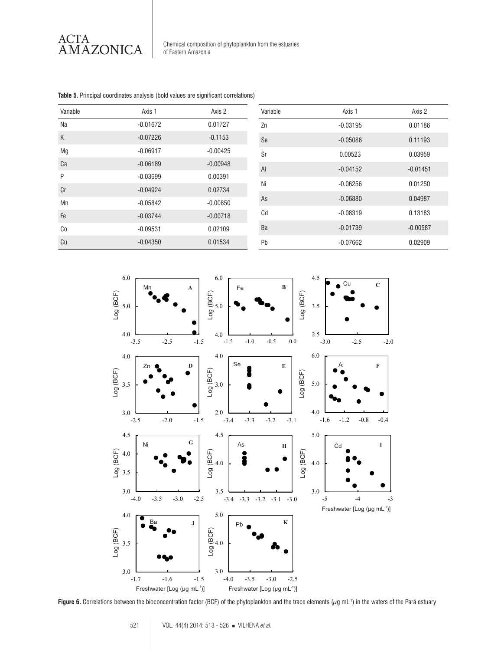

Variable **Axis 1** Axis 1 Axis 2 Na  $-0.01672$  0.01727 K -0.07226 -0.1153 Mg -0.06917 -0.00425 Ca -0.06189 -0.06189 -0.00948 P -0.03699 0.00391 Cr **-0.04924** 0.02734 Mn -0.05842 -0.00850 Fe -0.03744 -0.00718 Co -0.09531 0.02109 Cu -0.04350 0.01534 Variable **Axis 1** Axis 1 Axis 2 Zn -0.03195 0.01186 Se 0.11193 Sr 0.00523 0.03959 Al -0.04152 -0.01451 Ni -0.06256 0.01250 As  $-0.06880$  0.04987 Cd 0.08319 0.13183 Ba -0.01739 -0.00587 Pb -0.07662 0.02909



**Table 5.** Principal coordinates analysis (bold values are significant correlations)

Figure 6. Correlations between the bioconcentration factor (BCF) of the phytoplankton and the trace elements ( $\mu$ g mL<sup>-1</sup>) in the waters of the Pará estuary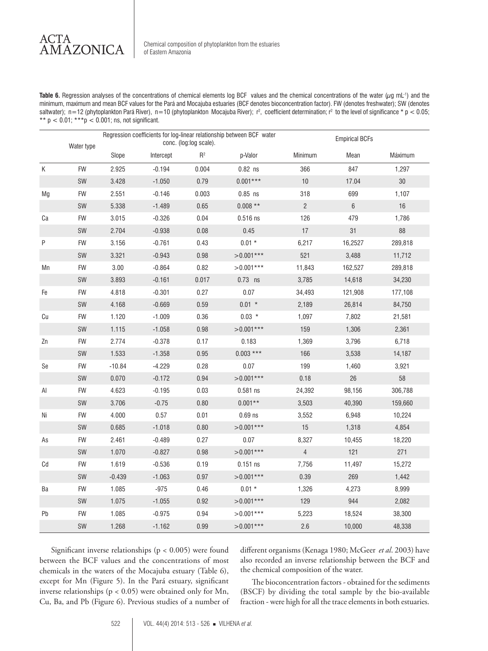ACTA **AMAZONICA** 

**Table 6.** Regression analyses of the concentrations of chemical elements log BCF values and the chemical concentrations of the water (µg mL-1) and the minimum, maximum and mean BCF values for the Pará and Mocajuba estuaries (BCF denotes bioconcentration factor). FW (denotes freshwater); SW (denotes saltwater); n=12 (phytoplankton Pará River), n=10 (phytoplankton Mocajuba River); r², coefficient determination; r² to the level of significance \* p < 0.05; \*\*  $p < 0.01$ ; \*\*\* $p < 0.001$ ; ns, not significant.

|                              | Water type | Regression coefficients for log-linear relationship between BCF water<br>conc. (log:log scale). |           |       |             | <b>Empirical BCFs</b> |         |         |  |
|------------------------------|------------|-------------------------------------------------------------------------------------------------|-----------|-------|-------------|-----------------------|---------|---------|--|
|                              |            | Slope                                                                                           | Intercept | $R^2$ | p-Valor     | Minimum               | Mean    | Máximum |  |
| К                            | <b>FW</b>  | 2.925                                                                                           | $-0.194$  | 0.004 | $0.82$ ns   | 366                   | 847     | 1,297   |  |
|                              | SW         | 3.428                                                                                           | $-1.050$  | 0.79  | $0.001***$  | $10$                  | 17.04   | $30\,$  |  |
| Mg                           | FW         | 2.551                                                                                           | $-0.146$  | 0.003 | $0.85$ ns   | 318                   | 699     | 1,107   |  |
|                              | SW         | 5.338                                                                                           | $-1.489$  | 0.65  | $0.008**$   | $\sqrt{2}$            | 6       | $16$    |  |
| Ca                           | FW         | 3.015                                                                                           | $-0.326$  | 0.04  | $0.516$ ns  | 126                   | 479     | 1,786   |  |
|                              | SW         | 2.704                                                                                           | $-0.938$  | 0.08  | 0.45        | 17                    | 31      | 88      |  |
| P                            | <b>FW</b>  | 3.156                                                                                           | $-0.761$  | 0.43  | $0.01 *$    | 6,217                 | 16,2527 | 289,818 |  |
|                              | SW         | 3.321                                                                                           | $-0.943$  | 0.98  | $>0.001***$ | 521                   | 3,488   | 11,712  |  |
| Мn                           | FW         | 3.00                                                                                            | $-0.864$  | 0.82  | $>0.001***$ | 11,843                | 162,527 | 289,818 |  |
|                              | SW         | 3.893                                                                                           | $-0.161$  | 0.017 | $0.73$ ns   | 3,785                 | 14,618  | 34,230  |  |
| Fe                           | FW         | 4.818                                                                                           | $-0.301$  | 0.27  | 0.07        | 34,493                | 121,908 | 177,108 |  |
|                              | SW         | 4.168                                                                                           | $-0.669$  | 0.59  | $0.01 *$    | 2,189                 | 26,814  | 84,750  |  |
| Cu                           | FW         | 1.120                                                                                           | $-1.009$  | 0.36  | $0.03 *$    | 1,097                 | 7,802   | 21,581  |  |
|                              | SW         | 1.115                                                                                           | $-1.058$  | 0.98  | $>0.001***$ | 159                   | 1,306   | 2,361   |  |
| Zn                           | <b>FW</b>  | 2.774                                                                                           | $-0.378$  | 0.17  | 0.183       | 1,369                 | 3,796   | 6,718   |  |
|                              | SW         | 1.533                                                                                           | $-1.358$  | 0.95  | $0.003$ *** | 166                   | 3,538   | 14,187  |  |
| $\operatorname{\mathsf{Se}}$ | FW         | $-10.84$                                                                                        | $-4.229$  | 0.28  | 0.07        | 199                   | 1,460   | 3,921   |  |
|                              | SW         | 0.070                                                                                           | $-0.172$  | 0.94  | $>0.001***$ | 0.18                  | 26      | 58      |  |
| Al                           | <b>FW</b>  | 4.623                                                                                           | $-0.195$  | 0.03  | $0.581$ ns  | 24,392                | 98,156  | 306,788 |  |
|                              | SW         | 3.706                                                                                           | $-0.75$   | 0.80  | $0.001**$   | 3,503                 | 40,390  | 159,660 |  |
| $\mathsf{N}\mathsf{i}$       | <b>FW</b>  | 4.000                                                                                           | 0.57      | 0.01  | $0.69$ ns   | 3,552                 | 6,948   | 10,224  |  |
|                              | SW         | 0.685                                                                                           | $-1.018$  | 0.80  | $>0.001***$ | 15                    | 1,318   | 4,854   |  |
| As                           | FW         | 2.461                                                                                           | $-0.489$  | 0.27  | 0.07        | 8,327                 | 10,455  | 18,220  |  |
|                              | SW         | 1.070                                                                                           | $-0.827$  | 0.98  | $>0.001***$ | $\overline{4}$        | 121     | 271     |  |
| $\mathbb{C}\mathbb{d}$       | FW         | 1.619                                                                                           | $-0.536$  | 0.19  | $0.151$ ns  | 7,756                 | 11,497  | 15,272  |  |
|                              | SW         | $-0.439$                                                                                        | $-1.063$  | 0.97  | $>0.001***$ | 0.39                  | 269     | 1,442   |  |
| Ba                           | FW         | 1.085                                                                                           | $-975$    | 0.46  | $0.01 *$    | 1,326                 | 4,273   | 8,999   |  |
|                              | SW         | 1.075                                                                                           | $-1.055$  | 0.92  | $>0.001***$ | 129                   | 944     | 2,082   |  |
| Pb                           | FW         | 1.085                                                                                           | $-0.975$  | 0.94  | $>0.001***$ | 5,223                 | 18,524  | 38,300  |  |
|                              | SW         | 1.268                                                                                           | $-1.162$  | 0.99  | $>0.001***$ | 2.6                   | 10,000  | 48,338  |  |

Significant inverse relationships (p < 0.005) were found between the BCF values and the concentrations of most chemicals in the waters of the Mocajuba estuary (Table 6), except for Mn (Figure 5). In the Pará estuary, significant inverse relationships ( $p < 0.05$ ) were obtained only for Mn, Cu, Ba, and Pb (Figure 6). Previous studies of a number of different organisms (Kenaga 1980; McGeer *et al*. 2003) have also recorded an inverse relationship between the BCF and the chemical composition of the water.

The bioconcentration factors - obtained for the sediments (BSCF) by dividing the total sample by the bio-available fraction - were high for all the trace elements in both estuaries.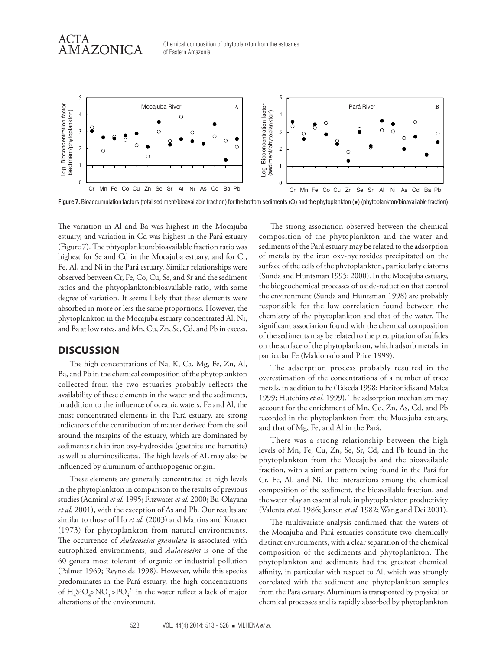Chemical composition of phytoplankton from the estuaries 2 of Eastern Amazonia e<br>Bioconcentration factors<br>and the set of the set of the set of the set of the set of the set of the set of the set of the set of the set<br>of the set of the set of the set of the set of the set of the set of the set of the  $\int$ 



**Figure 7.** Bioaccumulation factors (total sediment/bioavailable fraction) for the bottom sediments (O) and the phytoplankton (●) (phytoplankton/bioavailable fraction)

0 ratios and the phtyoplankton:bioavailable ratio, with some 1 observed between Cr, Fe, Co, Cu, Se, and Sr and the sediment 2 highest for Se and Cd in the Mocajuba estuary, and for Cr, 3 estuary, and variation in Cd was highest in the Pará estuary 4 The variation in Al and Ba was highest in the Mocajuba degree of variation. It seems likely that these elements were Lh<br>Est<br>Pe<br>Pe<br>pb e<br>gu<br>gh<br>se Cr Mn Fe Co Cu Zn Se Sr Al Ni As Cd Ba Pb<br>
Daccumulation factors (total sediment/bioavailable fraction) for the bottom sedimer<br>
tution in Al and Ba was highest in the Mocajuba The<br>
Ind variation in Cd was highest in the Pa (Figure 7). The phtyoplankton:bioavailable fraction ratio was Fe, Al, and Ni in the Pará estuary. Similar relationships were absorbed in more or less the same proportions. However, the phytoplankton in the Mocajuba estuary concentrated Al, Ni, and Ba at low rates, and Mn, Cu, Zn, Se, Cd, and Pb in excess.

### **DISCUSSION**

The high concentrations of Na, K, Ca, Mg, Fe, Zn, Al, Ba, and Pb in the chemical composition of the phytoplankton collected from the two estuaries probably reflects the availability of these elements in the water and the sediments, in addition to the influence of oceanic waters. Fe and Al, the most concentrated elements in the Pará estuary, are strong indicators of the contribution of matter derived from the soil around the margins of the estuary, which are dominated by sediments rich in iron oxy-hydroxides (goethite and hematite) as well as aluminosilicates. The high levels of AL may also be influenced by aluminum of anthropogenic origin.

These elements are generally concentrated at high levels in the phytoplankton in comparison to the results of previous studies (Admiral *et al.* 1995; Fitzwater *et al.* 2000; Bu-Olayana *et al.* 2001), with the exception of As and Pb. Our results are similar to those of Ho *et al*. (2003) and Martins and Knauer (1973) for phytoplankton from natural environments. The occurrence of *Aulacoseira granulata* is associated with eutrophized environments, and *Aulacoseira* is one of the 60 genera most tolerant of organic or industrial pollution (Palmer 1969; Reynolds 1998). However, while this species predominates in the Pará estuary, the high concentrations of  $H_4SiO_4 > NO_3 > PO_4^3$  in the water reflect a lack of major alterations of the environment.

The strong association observed between the chemical composition of the phytoplankton and the water and sediments of the Pará estuary may be related to the adsorption of metals by the iron oxy-hydroxides precipitated on the surface of the cells of the phytoplankton, particularly diatoms (Sunda and Huntsman 1995; 2000). In the Mocajuba estuary, the biogeochemical processes of oxide-reduction that control the environment (Sunda and Huntsman 1998) are probably responsible for the low correlation found between the chemistry of the phytoplankton and that of the water. The significant association found with the chemical composition of the sediments may be related to the precipitation of sulfides on the surface of the phytoplankton, which adsorb metals, in particular Fe (Maldonado and Price 1999).

The adsorption process probably resulted in the overestimation of the concentrations of a number of trace metals, in addition to Fe (Takeda 1998; Haritonidis and Malea 1999; Hutchins *et al.* 1999). The adsorption mechanism may account for the enrichment of Mn, Co, Zn, As, Cd, and Pb recorded in the phytoplankton from the Mocajuba estuary, and that of Mg, Fe, and Al in the Pará.

There was a strong relationship between the high levels of Mn, Fe, Cu, Zn, Se, Sr, Cd, and Pb found in the phytoplankton from the Mocajuba and the bioavailable fraction, with a similar pattern being found in the Pará for Cr, Fe, Al, and Ni. The interactions among the chemical composition of the sediment, the bioavailable fraction, and the water play an essential role in phytoplankton productivity (Valenta *et al*. 1986; Jensen *et al*. 1982; Wang and Dei 2001).

The multivariate analysis confirmed that the waters of the Mocajuba and Pará estuaries constitute two chemically distinct environments, with a clear separation of the chemical composition of the sediments and phytoplankton. The phytoplankton and sediments had the greatest chemical affinity, in particular with respect to Al, which was strongly correlated with the sediment and phytoplankton samples from the Pará estuary. Aluminum is transported by physical or chemical processes and is rapidly absorbed by phytoplankton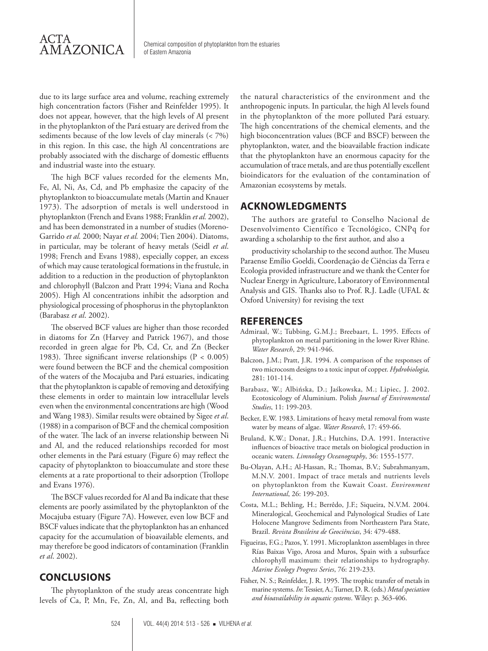due to its large surface area and volume, reaching extremely high concentration factors (Fisher and Reinfelder 1995). It does not appear, however, that the high levels of Al present in the phytoplankton of the Pará estuary are derived from the sediments because of the low levels of clay minerals (< 7%) in this region. In this case, the high Al concentrations are probably associated with the discharge of domestic effluents and industrial waste into the estuary.

The high BCF values recorded for the elements Mn, Fe, Al, Ni, As, Cd, and Pb emphasize the capacity of the phytoplankton to bioaccumulate metals (Martin and Knauer 1973). The adsorption of metals is well understood in phytoplankton (French and Evans 1988; Franklin *et al.* 2002), and has been demonstrated in a number of studies (Moreno-Garrido *et al.* 2000; Nayar *et al.* 2004; Tien 2004). Diatoms, in particular, may be tolerant of heavy metals (Seidl *et al*. 1998; French and Evans 1988), especially copper, an excess of which may cause teratological formations in the frustule, in addition to a reduction in the production of phytoplankton and chlorophyll (Balczon and Pratt 1994; Viana and Rocha 2005). High Al concentrations inhibit the adsorption and physiological processing of phosphorus in the phytoplankton (Barabasz *et al*. 2002).

The observed BCF values are higher than those recorded in diatoms for Zn (Harvey and Patrick 1967), and those recorded in green algae for Pb, Cd, Cr, and Zn (Becker 1983). Three significant inverse relationships ( $P < 0.005$ ) were found between the BCF and the chemical composition of the waters of the Mocajuba and Pará estuaries, indicating that the phytoplankton is capable of removing and detoxifying these elements in order to maintain low intracellular levels even when the environmental concentrations are high (Wood and Wang 1983). Similar results were obtained by Sigee *et al*. (1988) in a comparison of BCF and the chemical composition of the water. The lack of an inverse relationship between Ni and Al, and the reduced relationships recorded for most other elements in the Pará estuary (Figure 6) may reflect the capacity of phytoplankton to bioaccumulate and store these elements at a rate proportional to their adsorption (Trollope and Evans 1976).

The BSCF values recorded for Al and Ba indicate that these elements are poorly assimilated by the phytoplankton of the Mocajuba estuary (Figure 7A). However, even low BCF and BSCF values indicate that the phytoplankton has an enhanced capacity for the accumulation of bioavailable elements, and may therefore be good indicators of contamination (Franklin *et al*. 2002).

## **CONCLUSIONS**

The phytoplankton of the study areas concentrate high levels of Ca, P, Mn, Fe, Zn, Al, and Ba, reflecting both

the natural characteristics of the environment and the anthropogenic inputs. In particular, the high Al levels found in the phytoplankton of the more polluted Pará estuary. The high concentrations of the chemical elements, and the high bioconcentration values (BCF and BSCF) between the phytoplankton, water, and the bioavailable fraction indicate that the phytoplankton have an enormous capacity for the accumulation of trace metals, and are thus potentially excellent bioindicators for the evaluation of the contamination of Amazonian ecosystems by metals.

# **ACKNOWLEDGMENTS**

The authors are grateful to Conselho Nacional de Desenvolvimento Científico e Tecnológico, CNPq for awarding a scholarship to the first author, and also a

productivity scholarship to the second author. The Museu Paraense Emílio Goeldi, Coordenação de Ciências da Terra e Ecologia provided infrastructure and we thank the Center for Nuclear Energy in Agriculture, Laboratory of Environmental Analysis and GIS. Thanks also to Prof. R.J. Ladle (UFAL & Oxford University) for revising the text

### **REFERENCES**

- Admiraal, W.; Tubbing, G.M.J.; Breebaart, L. 1995. Effects of phytoplankton on metal partitioning in the lower River Rhine. *Water Research*, 29: 941-946.
- Balczon, J.M.; Pratt, J.R. 1994. A comparison of the responses of two microcosm designs to a toxic input of copper. *Hydrobiologia,* 281: 101-114.
- Barabasz, W.; Albińska, D.; Jaśkowska, M.; Lipiec, J. 2002. Ecotoxicology of Aluminium. Polish *Journal of Environmental Studies*, 11: 199-203.
- Becker, E.W. 1983. Limitations of heavy metal removal from waste water by means of algae. *Water Research*, 17: 459-66.
- Bruland, K.W.; Donat, J.R.; Hutchins, D.A. 1991. Interactive influences of bioactive trace metals on biological production in oceanic waters. *Limnology Oceanography*, 36: 1555-1577.
- Bu-Olayan, A.H.; Al-Hassan, R.; Thomas, B.V.; Subrahmanyam, M.N.V. 2001. Impact of trace metals and nutrients levels on phytoplankton from the Kuwait Coast. *Environment International*, 26: 199-203.
- Costa, M.L.; Behling, H.; Berrêdo, J.F.; Siqueira, N.V.M. 2004. Mineralogical, Geochemical and Palynological Studies of Late Holocene Mangrove Sediments from Northeastern Para State, Brazil. *Revista Brasileira de Geociências*, 34: 479-488.
- Figueiras, F.G.; Pazos, Y. 1991. Microplankton assemblages in three Rías Baixas Vigo, Arosa and Muros, Spain with a subsurface chlorophyll maximum: their relationships to hydrography. *Marine Ecology Progress Series*, 76: 219-233.
- Fisher, N. S.; Reinfelder, J. R. 1995. The trophic transfer of metals in marine systems. *In*: Tessier, A.; Turner, D. R. (eds.) *Metal speciation and bioavailability in aquatic systems*. Wiley: p. 363-406.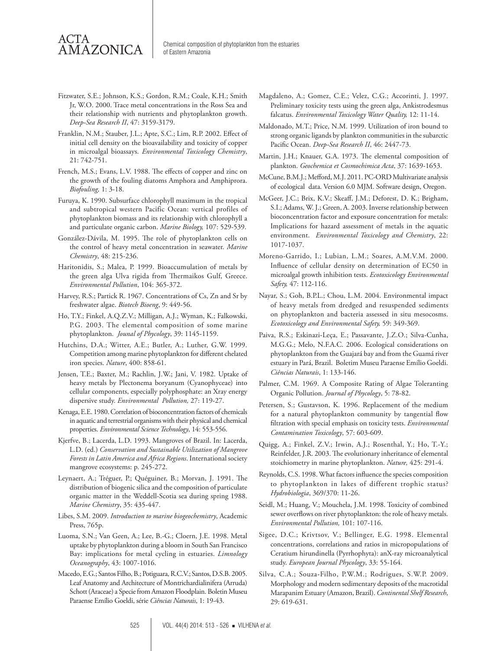- Fitzwater, S.E.; Johnson, K.S.; Gordon, R.M.; Coale, K.H.; Smith Jr, W.O. 2000. Trace metal concentrations in the Ross Sea and their relationship with nutrients and phytoplankton growth. *Deep-Sea Research II*, 47: 3159-3179.
- Franklin, N.M.; Stauber, J.L.; Apte, S.C.; Lim, R.P. 2002. Effect of initial cell density on the bioavailability and toxicity of copper in microalgal bioassays. *Environmental Toxicology Chemistry*, 21: 742-751.
- French, M.S.; Evans, L.V. 1988. The effects of copper and zinc on the growth of the fouling diatoms Amphora and Amphiprora. *Biofouling,* 1: 3-18.
- Furuya, K. 1990. Subsurface chlorophyll maximum in the tropical and subtropical western Pacific Ocean: vertical profiles of phytoplankton biomass and its relationship with chlorophyll a and particulate organic carbon. *Marine Biology,* 107: 529-539.
- González-Dávila, M. 1995. The role of phytoplankton cells on the control of heavy metal concentration in seawater. *Marine Chemistry*, 48: 215-236.
- Haritonidis, S.; Malea, P. 1999. Bioaccumulation of metals by the green alga Ulva rigida from Thermaikos Gulf, Greece. *Environmental Pollution*, 104: 365-372.
- Harvey, R.S.; Partick R. 1967. Concentrations of Cs, Zn and Sr by freshwater algae. *Biotech Bioeng*, 9: 449-56.
- Ho, T.Y.; Finkel, A.Q.Z.V.; Milligan, A.J.; Wyman, K.; Falkowski, P.G. 2003. The elemental composition of some marine phytoplankton. *Jounal of Phycology*, 39: 1145-1159.
- Hutchins, D.A.; Witter, A.E.; Butler, A.; Luther, G.W. 1999. Competition among marine phytoplankton for different chelated iron species. *Nature*, 400: 858-61.
- Jensen, T.E.; Baxter, M.; Rachlin, J.W.; Jani, V. 1982. Uptake of heavy metals by Plectonema boryanum (Cyanophyceae) into cellular components, especially polyphosphate: an Xray energy dispersive study. *Environmental Pollution,* 27: 119-27.
- Kenaga, E.E. 1980. Correlation of bioconcentration factors of chemicals in aquatic and terrestrial organisms with their physical and chemical properties. *Environmental Science Technology*, 14: 553-556.
- Kjerfve, B.; Lacerda, L.D. 1993. Mangroves of Brazil. In: Lacerda, L.D. (ed.) *Conservation and Sustainable Utilization of Mangrove Forests in Latin America and Africa Regions*. International society mangrove ecosystems: p. 245-272.
- Leynaert, A.; Tréguer, P.; Quéguiner, B.; Morvan, J. 1991. The distribution of biogenic silica and the composition of particulate organic matter in the Weddell-Scotia sea during spring 1988. *Marine Chemistry*, 35: 435-447.
- Libes, S.M. 2009. *Introduction to marine biogeochemistry*, Academic Press, 765p.
- Luoma, S.N.; Van Geen, A.; Lee, B.-G.; Cloern, J.E. 1998. Metal uptake by phytoplankton during a bloom in South San Francisco Bay: implications for metal cycling in estuaries. *Limnology Oceanography*, 43: 1007-1016.
- Macedo, E.G.; Santos Filho, B.; Potiguara, R.C.V.; Santos, D.S.B. 2005. Leaf Anatomy and Architecture of Montrichardialinifera (Arruda) Schott (Araceae) a Specie from Amazon Floodplain. Boletin Museu Paraense Emílio Goeldi, série *Ciências Naturais*, 1: 19-43.
- Magdaleno, A.; Gomez, C.E.; Velez, C.G.; Accorinti, J. 1997. Preliminary toxicity tests using the green alga, Ankistrodesmus falcatus. *Environmental Toxicology Water Quality,* 12: 11-14.
- Maldonado, M.T.; Price, N.M. 1999. Utilization of iron bound to strong organic ligands by plankton communities in the subarctic Pacific Ocean. *Deep-Sea Research II*, 46: 2447-73.
- Martin, J.H.; Knauer, G.A. 1973. The elemental composition of plankton. *Geochemica et Cosmochimica Acta*, 37: 1639-1653.
- McCune, B.M.J.; Mefford, M.J. 2011. PC-ORD Multivariate analysis of ecological data. Version 6.0 MJM. Software design, Oregon.
- McGeer, J.C.; Brix, K.V.; Skeaff, J.M.; Deforest, D. K.; Brigham, S.I.; Adams, W. J.; Green, A. 2003. Inverse relationship between bioconcentration factor and exposure concentration for metals: Implications for hazard assessment of metals in the aquatic environment. *Environmental Toxicology and Chemistry*, 22: 1017-1037.
- Moreno-Garrido, I.; Lubian, L.M.; Soares, A.M.V.M. 2000. Influence of cellular density on determination of EC50 in microalgal growth inhibition tests. *Ecotoxicology Environmental Safety,* 47: 112-116.
- Nayar, S.; Goh, B.P.L.; Chou, L.M. 2004. Environmental impact of heavy metals from dredged and resuspended sediments on phytoplankton and bacteria assessed in situ mesocosms. *Ecotoxicology and Environmental Safety,* 59: 349-369.
- Paiva, R.S.; Eskinazi-Leça, E.; Passavante, J.Z.O.; Silva-Cunha, M.G.G.; Melo, N.F.A.C. 2006. Ecological considerations on phytoplankton from the Guajará bay and from the Guamá river estuary in Pará, Brazil. Boletim Museu Paraense Emílio Goeldi. *Ciências Naturais*, 1: 133-146.
- Palmer, C.M. 1969. A Composite Rating of Algae Toleranting Organic Pollution. *Journal of Phycology*, 5: 78-82.
- Petersen, S.; Gustavson, K. 1996. Replacement of the medium for a natural phytoplankton community by tangential flow filtration with special emphasis on toxicity tests. *Environmental Contamination Toxicology*, 57: 603-609.
- Quigg, A.; Finkel, Z.V.; Irwin, A.J.; Rosenthal, Y.; Ho, T.-Y.; Reinfelder, J.R. 2003. The evolutionary inheritance of elemental stoichiometry in marine phytoplankton. *Nature,* 425: 291-4.
- Reynolds, C.S. 1998. What factors influence the species composition to phytoplankton in lakes of different trophic status? *Hydrobiologia*, 369/370: 11-26.
- Seidl, M.; Huang, V.; Mouchela, J.M. 1998. Toxicity of combined sewer overflows on river phytoplankton: the role of heavy metals. *Environmental Pollution,* 101: 107-116.
- Sigee, D.C.; Krivtsov, V.; Bellinger, E.G. 1998. Elemental concentrations, correlations and ratios in micropopulations of Ceratium hirundinella (Pyrrhophyta): anX-ray microanalytical study. *European Journal Phycology*, 33: 55-164.
- Silva, C.A.; Souza-Filho, P.W.M.; Rodrigues, S.W.P. 2009. Morphology and modern sedimentary deposits of the macrotidal Marapanim Estuary (Amazon, Brazil). *Continental Shelf Research*, 29: 619-631.